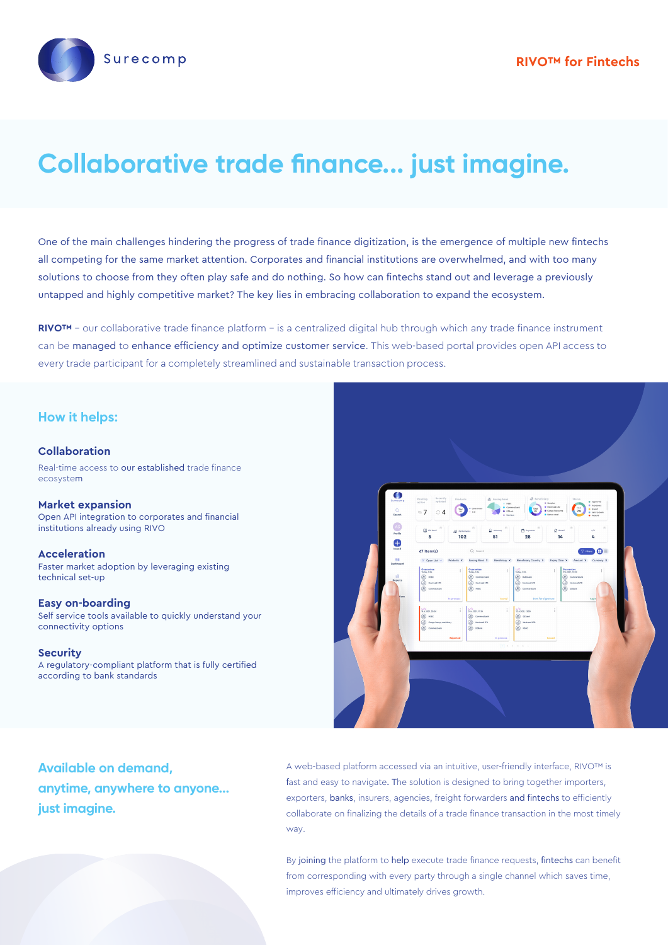

# **Collaborative trade finance... just imagine.**

One of the main challenges hindering the progress of trade finance digitization, is the emergence of multiple new fintechs all competing for the same market attention. Corporates and financial institutions are overwhelmed, and with too many solutions to choose from they often play safe and do nothing. So how can fintechs stand out and leverage a previously untapped and highly competitive market? The key lies in embracing collaboration to expand the ecosystem.

**RIVO™** - our collaborative trade finance platform - is a centralized digital hub through which any trade finance instrument can be managed to enhance efficiency and optimize customer service. This web-based portal provides open API access to every trade participant for a completely streamlined and sustainable transaction process.

### **How it helps:**

### **Collaboration**

Real-time access to our established trade finance ecosystem

**Market expansion** Open API integration to corporates and financial institutions already using RIVO

**Acceleration** Faster market adoption by leveraging existing technical set-up

#### **Easy on-boarding**

Self service tools available to quickly understand your connectivity options

#### **Security**

A regulatory-compliant platform that is fully certified according to bank standards



# **Available on demand, anytime, anywhere to anyone... just imagine.**

A web-based platform accessed via an intuitive, user-friendly interface, RIVO™ is fast and easy to navigate. The solution is designed to bring together importers, exporters, banks, insurers, agencies, freight forwarders and fintechs to efficiently collaborate on finalizing the details of a trade finance transaction in the most timely way.

By joining the platform to help execute trade finance requests, fintechs can benefit from corresponding with every party through a single channel which saves time, improves efficiency and ultimately drives growth.